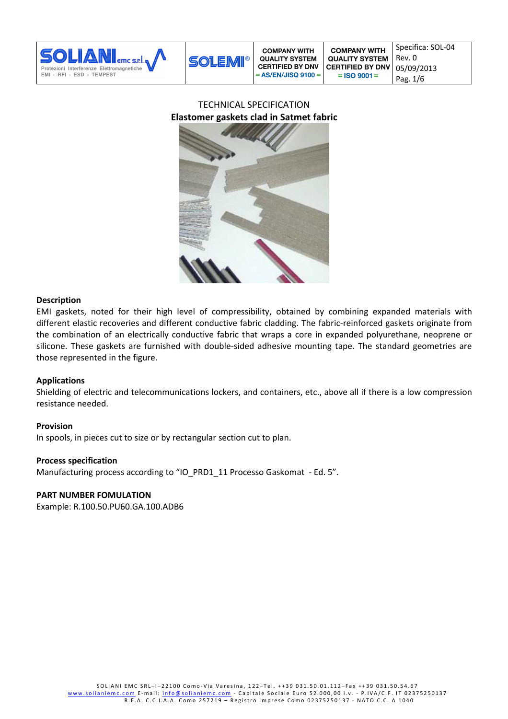

# TECHNICAL SPECIFICATION **Elastomer gaskets clad in Satmet fabric**



#### **Description**

EMI gaskets, noted for their high level of compressibility, obtained by combining expanded materials with different elastic recoveries and different conductive fabric cladding. The fabric-reinforced gaskets originate from the combination of an electrically conductive fabric that wraps a core in expanded polyurethane, neoprene or silicone. These gaskets are furnished with double-sided adhesive mounting tape. The standard geometries are those represented in the figure.

# **Applications**

Shielding of electric and telecommunications lockers, and containers, etc., above all if there is a low compression resistance needed.

# **Provision**

In spools, in pieces cut to size or by rectangular section cut to plan.

#### **Process specification**

Manufacturing process according to "IO\_PRD1\_11 Processo Gaskomat - Ed. 5".

# **PART NUMBER FOMULATION**

Example: R.100.50.PU60.GA.100.ADB6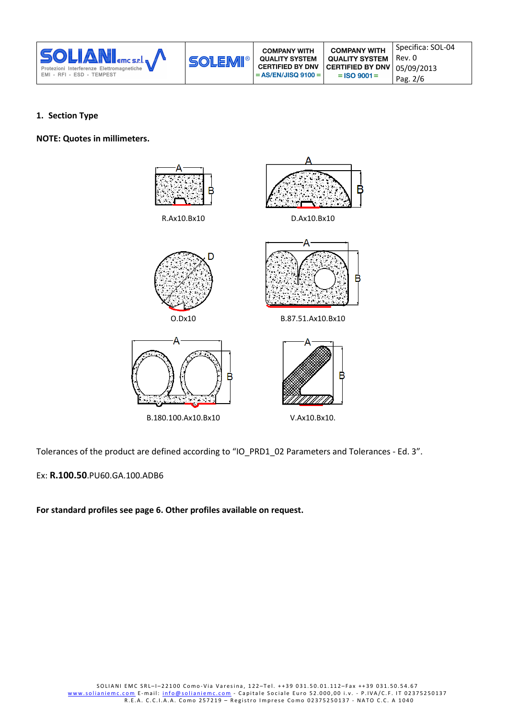| <b>SOLIANI</b><br>Protezioni Interferenze Elettromagnetiche<br>EMI - RFI - ESD - TEMPEST | <b>SOLEMI®</b> | <b>COMPANY WITH</b><br><b>QUALITY SYSTEM</b><br><b>CERTIFIED BY DNV</b><br>$= AS/EN/JISQ 9100 =$ | <b>COMPANY WITH</b><br><b>QUALITY SYSTEM</b><br><b>CERTIFIED BY DNV</b><br>$=$ ISO 9001 $=$ | Specifica: SOL-04<br>Rev. 0<br>05/09/2013<br>Pag. 2/6 |
|------------------------------------------------------------------------------------------|----------------|--------------------------------------------------------------------------------------------------|---------------------------------------------------------------------------------------------|-------------------------------------------------------|
|------------------------------------------------------------------------------------------|----------------|--------------------------------------------------------------------------------------------------|---------------------------------------------------------------------------------------------|-------------------------------------------------------|

### **1. Section Type**

**NOTE: Quotes in millimeters.** 



Tolerances of the product are defined according to "IO\_PRD1\_02 Parameters and Tolerances - Ed. 3".

# Ex: **R.100.50**.PU60.GA.100.ADB6

**For standard profiles see page 6. Other profiles available on request.**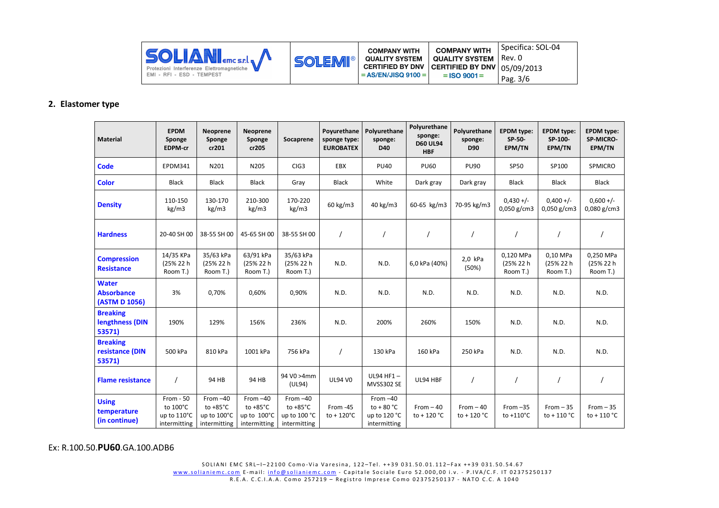| <b>SOLIANI</b> Eme s.e.l. A<br>Protezioni Interferenze Elettromagnetiche<br>EMI - RFI - ESD - TEMPEST | <b>SOLEMI®</b> | <b>COMPANY WITH</b><br><b>QUALITY SYSTEM</b><br>CERTIFIED BY DNV CERTIFIED BY DNV $\mid$ 05/09/2013<br>$= AS/EN/JISQ 9100 =$ | <b>COMPANY WITH</b><br><b>QUALITY SYSTEM</b>   Rev. 0<br>$=$ ISO 9001 $=$ | Specifica: SOL-04<br>Pag. 3/6 |
|-------------------------------------------------------------------------------------------------------|----------------|------------------------------------------------------------------------------------------------------------------------------|---------------------------------------------------------------------------|-------------------------------|
|-------------------------------------------------------------------------------------------------------|----------------|------------------------------------------------------------------------------------------------------------------------------|---------------------------------------------------------------------------|-------------------------------|

#### **2. Elastomer type**

| Material                                           | <b>EPDM</b><br>Sponge<br>EDPM-cr                      | Neoprene<br>Sponge<br>cr201                                     | Neoprene<br>Sponge<br>cr205                                     | Socaprene                                                        | Poyurethane<br>sponge type:<br><b>EUROBATEX</b> | Polyurethane<br>sponge:<br>D40                            | Polyurethane<br>sponge:<br><b>D60 UL94</b><br><b>HBF</b> | Polyurethane<br>sponge:<br>D90      | <b>EPDM</b> type:<br>SP-50-<br>EPM/TN | <b>EPDM</b> type:<br>SP-100-<br>EPM/TN | <b>EPDM</b> type:<br>SP-MICRO-<br>EPM/TN |
|----------------------------------------------------|-------------------------------------------------------|-----------------------------------------------------------------|-----------------------------------------------------------------|------------------------------------------------------------------|-------------------------------------------------|-----------------------------------------------------------|----------------------------------------------------------|-------------------------------------|---------------------------------------|----------------------------------------|------------------------------------------|
| <b>Code</b>                                        | EPDM341                                               | N201                                                            | N205                                                            | CIG <sub>3</sub>                                                 | EBX                                             | <b>PU40</b>                                               | <b>PU60</b>                                              | <b>PU90</b>                         | <b>SP50</b>                           | SP100                                  | SPMICRO                                  |
| <b>Color</b>                                       | <b>Black</b>                                          | <b>Black</b>                                                    | <b>Black</b>                                                    | Gray                                                             | <b>Black</b>                                    | White                                                     | Dark gray                                                | Dark gray                           | Black                                 | Black                                  | <b>Black</b>                             |
| <b>Density</b>                                     | 110-150<br>kg/m3                                      | 130-170<br>kg/m3                                                | 210-300<br>kg/m3                                                | 170-220<br>kg/m3                                                 | 60 kg/m3                                        | 40 kg/m3                                                  | 60-65 kg/m3                                              | 70-95 kg/m3                         | $0,430 +/-$<br>$0,050$ g/cm3          | $0,400+/-$<br>$0,050$ g/cm3            | $0,600 +/-$<br>$0,080$ g/cm3             |
| <b>Hardness</b>                                    | 20-40 SH 00                                           | 38-55 SH 00                                                     | 45-65 SH 00                                                     | 38-55 SH 00                                                      |                                                 |                                                           |                                                          | $\prime$                            |                                       | $\prime$                               |                                          |
| <b>Compression</b><br><b>Resistance</b>            | 14/35 KPa<br>(25% 22 h<br>Room T.)                    | 35/63 kPa<br>(25% 22 h<br>Room T.)                              | 63/91 kPa<br>(25% 22 h<br>Room T.)                              | 35/63 kPa<br>(25% 22 h<br>Room T.)                               | N.D.                                            | N.D.                                                      | 6,0 kPa (40%)                                            | 2,0 kPa<br>(50%)                    | 0,120 MPa<br>(25% 22 h<br>Room T.)    | 0,10 MPa<br>(25% 22 h<br>Room T.)      | 0,250 MPa<br>(25% 22 h<br>Room T.)       |
| <b>Water</b><br><b>Absorbance</b><br>(ASTM D 1056) | 3%                                                    | 0,70%                                                           | 0,60%                                                           | 0,90%                                                            | N.D.                                            | N.D.                                                      | N.D.                                                     | N.D.                                | N.D.                                  | N.D.                                   | N.D.                                     |
| <b>Breaking</b><br>lengthness (DIN<br>53571)       | 190%                                                  | 129%                                                            | 156%                                                            | 236%                                                             | N.D.                                            | 200%                                                      | 260%                                                     | 150%                                | N.D.                                  | N.D.                                   | N.D.                                     |
| <b>Breaking</b><br>resistance (DIN<br>53571)       | 500 kPa                                               | 810 kPa                                                         | 1001 kPa                                                        | 756 kPa                                                          | $\prime$                                        | 130 kPa                                                   | 160 kPa                                                  | 250 kPa                             | N.D.                                  | N.D.                                   | N.D.                                     |
| <b>Flame resistance</b>                            |                                                       | 94 HB                                                           | 94 HB                                                           | 94 V0 >4mm<br>(UL94)                                             | <b>UL94 V0</b>                                  | UL94 HF1-<br>MVSS302 SE                                   | UL94 HBF                                                 | $\overline{1}$                      |                                       |                                        | $\prime$                                 |
| <b>Using</b><br>temperature<br>(in continue)       | From $-50$<br>to 100°C<br>up to 110°C<br>intermitting | From $-40$<br>to $+85^{\circ}$ C<br>up to 100°C<br>intermitting | From $-40$<br>to $+85^{\circ}$ C<br>up to 100°C<br>intermitting | From $-40$<br>to $+85^{\circ}$ C<br>up to 100 °C<br>intermitting | From -45<br>$to + 120^{\circ}C$                 | From $-40$<br>to $+80 °C$<br>up to 120 °C<br>intermitting | $From -40$<br>to + 120 $^{\circ}$ C                      | $From -40$<br>to + 120 $^{\circ}$ C | From $-35$<br>to +110°C               | $From -35$<br>to + $110 °C$            | $From -35$<br>to + 110 $\degree$ C       |

Ex: R.100.50.**PU60**.GA.100.ADB6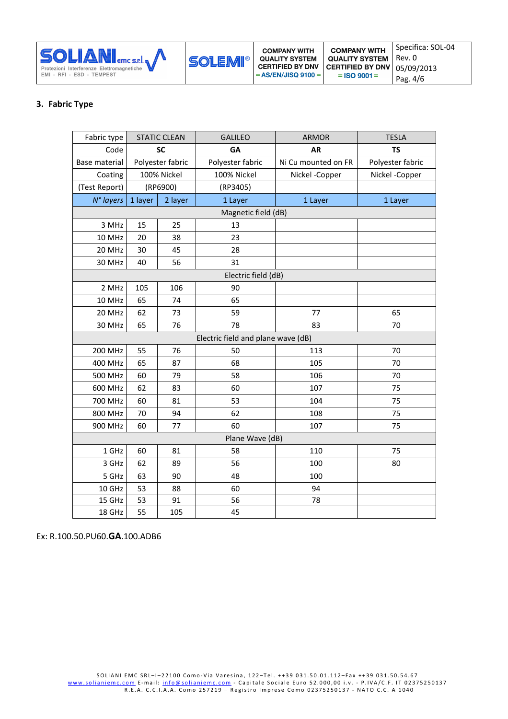

# **3. Fabric Type**

| Fabric type                        | <b>STATIC CLEAN</b> |                  | <b>GALILEO</b>      | <b>ARMOR</b>        | <b>TESLA</b>     |
|------------------------------------|---------------------|------------------|---------------------|---------------------|------------------|
| Code                               | <b>SC</b>           |                  | GA                  | <b>AR</b>           | <b>TS</b>        |
| Base material                      |                     | Polyester fabric | Polyester fabric    | Ni Cu mounted on FR | Polyester fabric |
| Coating                            |                     | 100% Nickel      | 100% Nickel         | Nickel -Copper      | Nickel - Copper  |
| (Test Report)                      |                     | (RP6900)         | (RP3405)            |                     |                  |
| N° layers                          | 1 layer             | 2 layer          | 1 Layer             | 1 Layer             | 1 Layer          |
|                                    |                     |                  | Magnetic field (dB) |                     |                  |
| 3 MHz                              | 15                  | 25               | 13                  |                     |                  |
| 10 MHz                             | 20                  | 38               | 23                  |                     |                  |
| 20 MHz                             | 30                  | 45               | 28                  |                     |                  |
| 30 MHz                             | 40                  | 56               | 31                  |                     |                  |
|                                    |                     |                  | Electric field (dB) |                     |                  |
| 2 MHz                              | 105                 | 106              | 90                  |                     |                  |
| 10 MHz                             | 65                  | 74               | 65                  |                     |                  |
| 20 MHz                             | 62                  | 73               | 59                  | 77                  | 65               |
| 30 MHz                             | 65                  | 76               | 78                  | 83                  | 70               |
| Electric field and plane wave (dB) |                     |                  |                     |                     |                  |
| <b>200 MHz</b>                     | 55                  | 76               | 50                  | 113                 | 70               |
| 400 MHz                            | 65                  | 87               | 68                  | 105                 | 70               |
| 500 MHz                            | 60                  | 79               | 58                  | 106                 | 70               |
| 600 MHz                            | 62                  | 83               | 60                  | 107                 | 75               |
| 700 MHz                            | 60                  | 81               | 53                  | 104                 | 75               |
| 800 MHz                            | 70                  | 94               | 62                  | 108                 | 75               |
| 900 MHz                            | 60                  | 77               | 60                  | 107                 | 75               |
|                                    |                     |                  | Plane Wave (dB)     |                     |                  |
| 1 GHz                              | 60                  | 81               | 58                  | 110                 | 75               |
| 3 GHz                              | 62                  | 89               | 56                  | 100                 | 80               |
| 5 GHz                              | 63                  | 90               | 48                  | 100                 |                  |
| 10 GHz                             | 53                  | 88               | 60                  | 94                  |                  |
| 15 GHz                             | 53                  | 91               | 56                  | 78                  |                  |
| 18 GHz                             | 55                  | 105              | 45                  |                     |                  |

Ex: R.100.50.PU60.**GA**.100.ADB6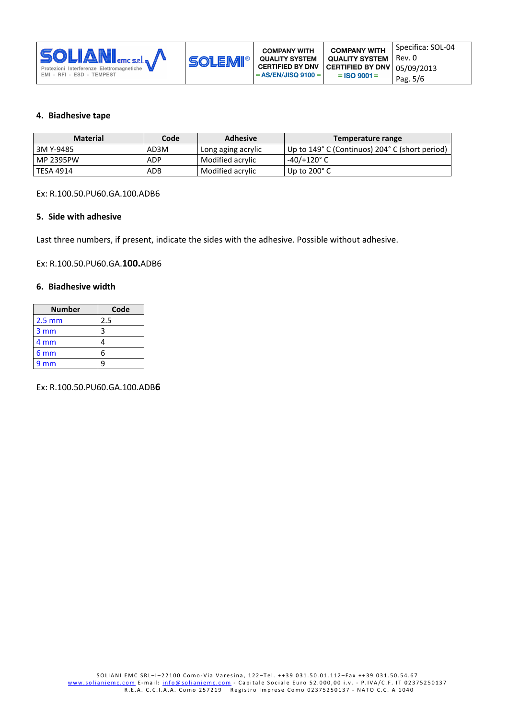

#### **4. Biadhesive tape**

| <b>Material</b>  | Code       | <b>Adhesive</b>    | Temperature range                              |
|------------------|------------|--------------------|------------------------------------------------|
| 3M Y-9485        | AD3M       | Long aging acrylic | Up to 149° C (Continuos) 204° C (short period) |
| <b>MP 2395PW</b> | <b>ADP</b> | Modified acrylic   | $-40/+120^{\circ}$ C                           |
| TESA 4914        | ADB        | Modified acrylic   | Up to $200^\circ$ C                            |

Ex: R.100.50.PU60.GA.100.ADB6

#### **5. Side with adhesive**

Last three numbers, if present, indicate the sides with the adhesive. Possible without adhesive.

Ex: R.100.50.PU60.GA.**100.**ADB6

#### **6. Biadhesive width**

| <b>Number</b>    | Code |
|------------------|------|
| $2.5 \text{ mm}$ | 2.5  |
| 3 mm             | ς    |
| 4 mm             |      |
| 6 mm             | հ    |
| 9 <sub>mm</sub>  |      |

Ex: R.100.50.PU60.GA.100.ADB**6**